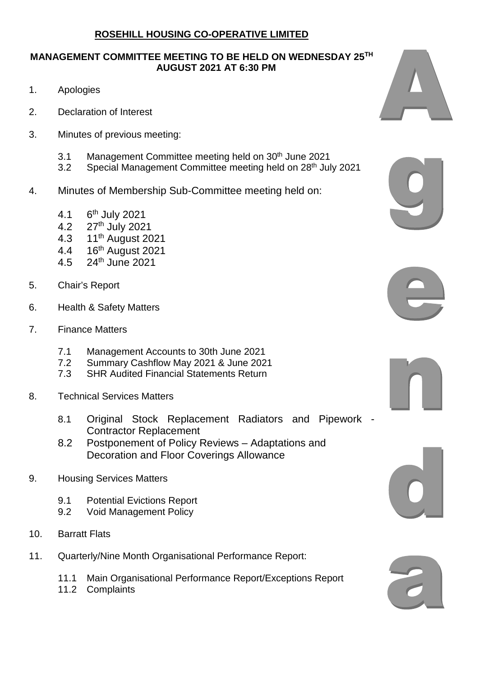## **MANAGEMENT COMMITTEE MEETING TO BE HELD ON WEDNESDAY 25TH AUGUST 2021 AT 6:30 PM**

- 1. Apologies
- 2. Declaration of Interest
- 3. Minutes of previous meeting:
	- 3.1 Management Committee meeting held on 30<sup>th</sup> June 2021
	- 3.2 Special Management Committee meeting held on 28<sup>th</sup> July 2021
- 4. Minutes of Membership Sub-Committee meeting held on:
	- 4.1 6<sup>th</sup> July 2021
	- 4.2 27th July 2021
	- 4.3 11th August 2021
	- 4.4 16th August 2021
	- 4.5 24th June 2021
- 5. Chair's Report
- 6. Health & Safety Matters
- 7. Finance Matters
	- 7.1 Management Accounts to 30th June 2021<br>7.2 Summary Cashflow May 2021 & June 202
	- 7.2 Summary Cashflow May 2021 & June 2021
	- **SHR Audited Financial Statements Return**
- 8. Technical Services Matters
	- 8.1 Original Stock Replacement Radiators and Pipework Contractor Replacement
	- 8.2 Postponement of Policy Reviews Adaptations and Decoration and Floor Coverings Allowance
- 9. Housing Services Matters
	- 9.1 Potential Evictions Report
	- 9.2 Void Management Policy
- 10. Barratt Flats
- 11. Quarterly/Nine Month Organisational Performance Report:
	- 11.1 Main Organisational Performance Report/Exceptions Report
	- 11.2 Complaints